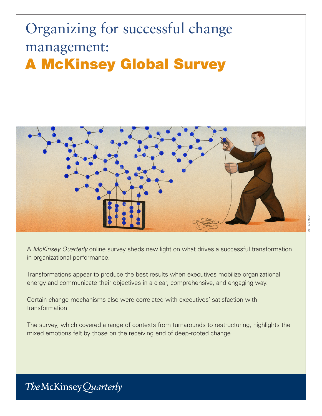# Organizing for successful change management: A McKinsey Global Survey



A *McKinsey Quarterly* online survey sheds new light on what drives a successful transformation in organizational performance.

Transformations appear to produce the best results when executives mobilize organizational energy and communicate their objectives in a clear, comprehensive, and engaging way.

Certain change mechanisms also were correlated with executives' satisfaction with transformation.

The survey, which covered a range of contexts from turnarounds to restructuring, highlights the mixed emotions felt by those on the receiving end of deep-rooted change.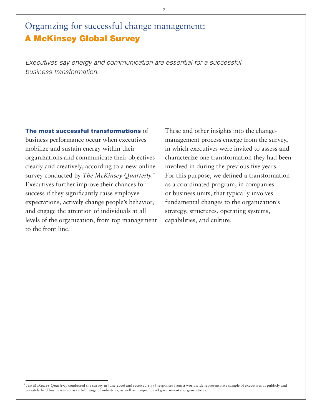# Organizing for successful change management: A McKinsey Global Survey

*Executives say energy and communication are essential for a successful business transformation.*

The most successful transformations of business performance occur when executives mobilize and sustain energy within their organizations and communicate their objectives clearly and creatively, according to a new online survey conducted by *The McKinsey Quarterly*. 1 Executives further improve their chances for success if they significantly raise employee expectations, actively change people's behavior, and engage the attention of individuals at all levels of the organization, from top management to the front line.

These and other insights into the changemanagement process emerge from the survey, in which executives were invited to assess and characterize one transformation they had been involved in during the previous five years. For this purpose, we defined a transformation as a coordinated program, in companies or business units, that typically involves fundamental changes to the organization's strategy, structures, operating systems, capabilities, and culture.

 $\overline{2}$ 

<sup>&</sup>lt;sup>1</sup>The McKinsey Quarterly conducted the survey in June 2006 and received 1,536 responses from a worldwide representative sample of executives at publicly and privately held businesses across a full range of industries, as well as nonprofit and governmental organizations.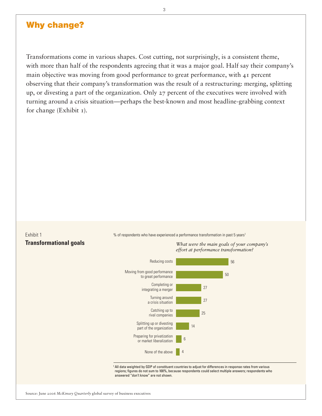#### Why change?

Transformations come in various shapes. Cost cutting, not surprisingly, is a consistent theme, with more than half of the respondents agreeing that it was a major goal. Half say their company's main objective was moving from good performance to great performance, with 41 percent observing that their company's transformation was the result of a restructuring: merging, splitting up, or divesting a part of the organization. Only 27 percent of the executives were involved with turning around a crisis situation—perhaps the best-known and most headline-grabbing context for change (Exhibit 1).

## Exhibit 1

% of respondents who have experienced a performance transformation in past 5 years<sup>1</sup>



Source: June 2006 *McKinsey Quarterly* global survey of business executives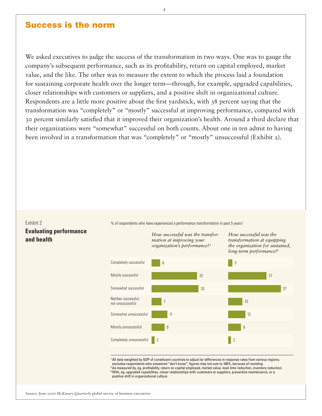#### Success is the norm

We asked executives to judge the success of the transformation in two ways. One was to gauge the company's subsequent performance, such as its profitability, return on capital employed, market value, and the like. The other was to measure the extent to which the process laid a foundation for sustaining corporate health over the longer term—through, for example, upgraded capabilities, closer relationships with customers or suppliers, and a positive shift in organizational culture. Respondents are a little more positive about the first yardstick, with 38 percent saying that the transformation was "completely" or "mostly" successful at improving performance, compared with 30 percent similarly satisfied that it improved their organization's health. Around a third declare that their organizations were "somewhat" successful on both counts. About one in ten admit to having been involved in a transformation that was "completely" or "mostly" unsuccessful (Exhibit 2).

#### Exhibit 2 **Evaluating performance and health**

% of respondents who have experienced a performance transformation in past 5 years<sup>1</sup>

*How successful was the transformation at improving your organization's performance?*<sup>2</sup>

*How successful was the transformation at equipping the organization for sustained, long-term performance?*<sup>3</sup>



<sup>1</sup> All data weighted by GDP of constituent countries to adjust for differences in response rates from various regions; excludes respondents who answered "don't know"; figures may not sum to 100%, because of rounding. 2 As measured by, eg, profitability, return on capital employed, market value, lead-time reduction, inventory reduction.  $^3$ With, eg, upgraded capabilities, closer relationships with customers or suppliers, preventive maintenance, or a positive shift in organizational culture.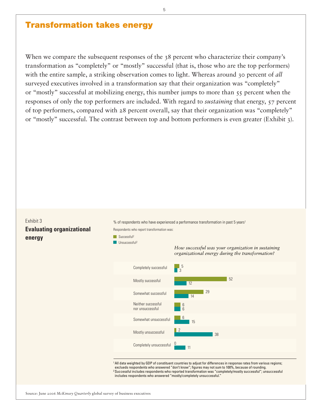#### Transformation takes energy

When we compare the subsequent responses of the 38 percent who characterize their company's transformation as "completely" or "mostly" successful (that is, those who are the top performers) with the entire sample, a striking observation comes to light. Whereas around 30 percent of *all* surveyed executives involved in a transformation say that their organization was "completely" or "mostly" successful at mobilizing energy, this number jumps to more than 55 percent when the responses of only the top performers are included. With regard to *sustaining* that energy, 57 percent of top performers, compared with 28 percent overall, say that their organization was "completely" or "mostly" successful. The contrast between top and bottom performers is even greater (Exhibit 3).

#### Exhibit 3 **Evaluating organizational energy**

% of respondents who have experienced a performance transformation in past 5 years1

Respondents who report transformation was:

Successful2







1All data weighted by GDP of constituent countries to adjust for differences in response rates from various regions; exclueds respondents who answered "don't know"; figures may not sum to 100%, because of rounding. 2 Successful includes respondents who reported transformation was "completely/mostly successful"; unsuccessful includes respondents who answered "mostly/completely unsuccessful."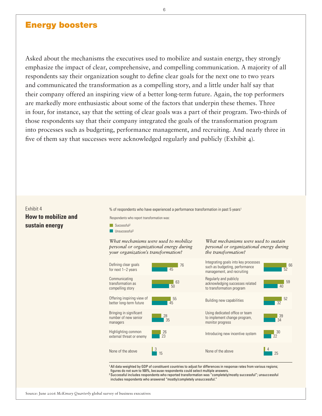#### Energy boosters

Asked about the mechanisms the executives used to mobilize and sustain energy, they strongly emphasize the impact of clear, comprehensive, and compelling communication. A majority of all respondents say their organization sought to define clear goals for the next one to two years and communicated the transformation as a compelling story, and a little under half say that their company offered an inspiring view of a better long-term future. Again, the top performers are markedly more enthusiastic about some of the factors that underpin these themes. Three in four, for instance, say that the setting of clear goals was a part of their program. Two-thirds of those respondents say that their company integrated the goals of the transformation program into processes such as budgeting, performance management, and recruiting. And nearly three in five of them say that successes were acknowledged regularly and publicly (Exhibit 4).

#### Exhibit 4 **How to mobilize and sustain energy**

% of respondents who have experienced a performance transformation in past 5 years1

Respondents who report transformation was:

- $\blacksquare$  Successful<sup>2</sup>
- $\Box$  Ilneuccessful2

#### *What mechanisms were used to mobilize personal or organizational energy during your organization's transformation?*



*What mechanisms were used to sustain personal or organizational energy during* 

*the transformation?*

1All data weighted by GDP of constituent countries to adjust for differences in response rates from various regions; figures do not sum to 100%, because respondents could select multiple answers.

2 Successful includes respondents who reported transformation was "completely/mostly successful"; unsuccessful includes respondents who answered "mostly/completely unsuccessful."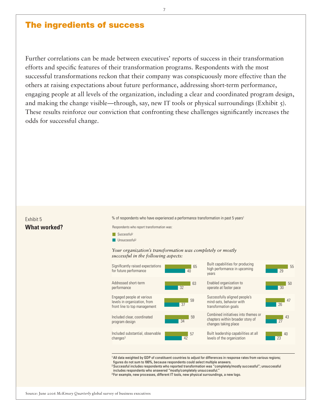### The ingredients of success

Further correlations can be made between executives' reports of success in their transformation efforts and specific features of their transformation programs. Respondents with the most successful transformations reckon that their company was conspicuously more effective than the others at raising expectations about future performance, addressing short-term performance, engaging people at all levels of the organization, including a clear and coordinated program design, and making the change visible—through, say, new IT tools or physical surroundings (Exhibit  $\zeta$ ). These results reinforce our conviction that confronting these challenges significantly increases the odds for successful change.

#### Exhibit 5 **What worked?**

% of respondents who have experienced a performance transformation in past 5 years1

Respondents who report transformation was:

- Successful<sup>2</sup>
- Unsuccessful<sup>2</sup>

#### *Your organization's transformation was completely or mostly successful in the following aspects:*



1All data weighted by GDP of constituent countries to adjust for differences in response rates from various regions; figures do not sum to 100%, because respondents could select multiple answers.

2 Successful includes respondents who reported transformation was "completely/mostly successful"; unsuccessful includes respondents who answered "mostly/completely unsuccessful."

<sup>3</sup> For example, new processes, different IT tools, new physical surroundings, a new logo.